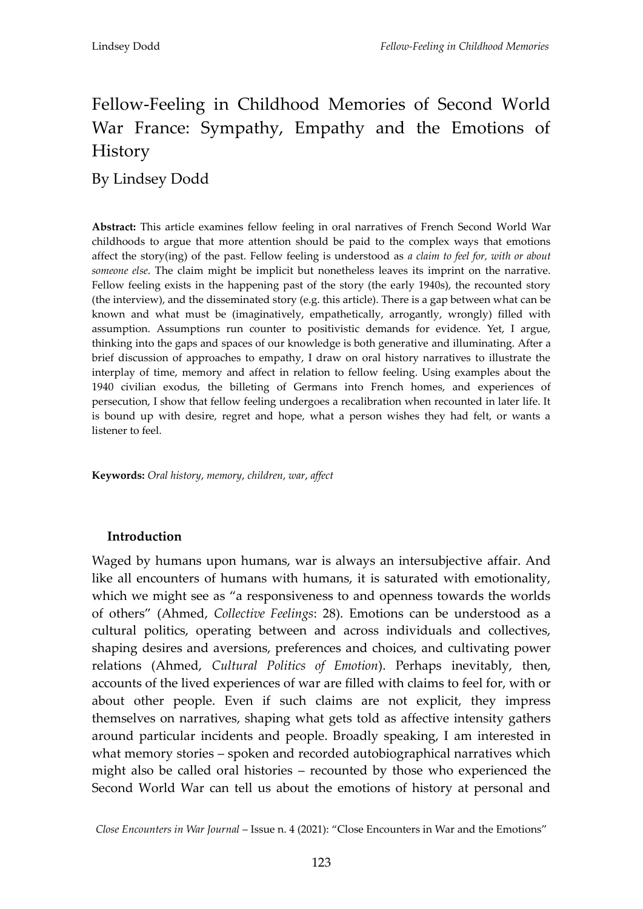# Fellow-Feeling in Childhood Memories of Second World War France: Sympathy, Empathy and the Emotions of History

By Lindsey Dodd

**Abstract:** This article examines fellow feeling in oral narratives of French Second World War childhoods to argue that more attention should be paid to the complex ways that emotions affect the story(ing) of the past. Fellow feeling is understood as *a claim to feel for, with or about someone else*. The claim might be implicit but nonetheless leaves its imprint on the narrative. Fellow feeling exists in the happening past of the story (the early 1940s), the recounted story (the interview), and the disseminated story (e.g. this article). There is a gap between what can be known and what must be (imaginatively, empathetically, arrogantly, wrongly) filled with assumption. Assumptions run counter to positivistic demands for evidence. Yet, I argue, thinking into the gaps and spaces of our knowledge is both generative and illuminating. After a brief discussion of approaches to empathy, I draw on oral history narratives to illustrate the interplay of time, memory and affect in relation to fellow feeling. Using examples about the 1940 civilian exodus, the billeting of Germans into French homes, and experiences of persecution, I show that fellow feeling undergoes a recalibration when recounted in later life. It is bound up with desire, regret and hope, what a person wishes they had felt, or wants a listener to feel.

**Keywords:** *Oral history*, *memory*, *children*, *war*, *affect*

#### **Introduction**

Waged by humans upon humans, war is always an intersubjective affair. And like all encounters of humans with humans, it is saturated with emotionality, which we might see as "a responsiveness to and openness towards the worlds of others' (Ahmed, *Collective Feelings*: 28). Emotions can be understood as a cultural politics, operating between and across individuals and collectives, shaping desires and aversions, preferences and choices, and cultivating power relations (Ahmed, *Cultural Politics of Emotion*). Perhaps inevitably, then, accounts of the lived experiences of war are filled with claims to feel for, with or about other people. Even if such claims are not explicit, they impress themselves on narratives, shaping what gets told as affective intensity gathers around particular incidents and people. Broadly speaking, I am interested in what memory stories – spoken and recorded autobiographical narratives which might also be called oral histories – recounted by those who experienced the Second World War can tell us about the emotions of history at personal and

*Close Encounters in War Journal* – Issue n. 4 (2021): 'Close Encounters in War and the Emotions'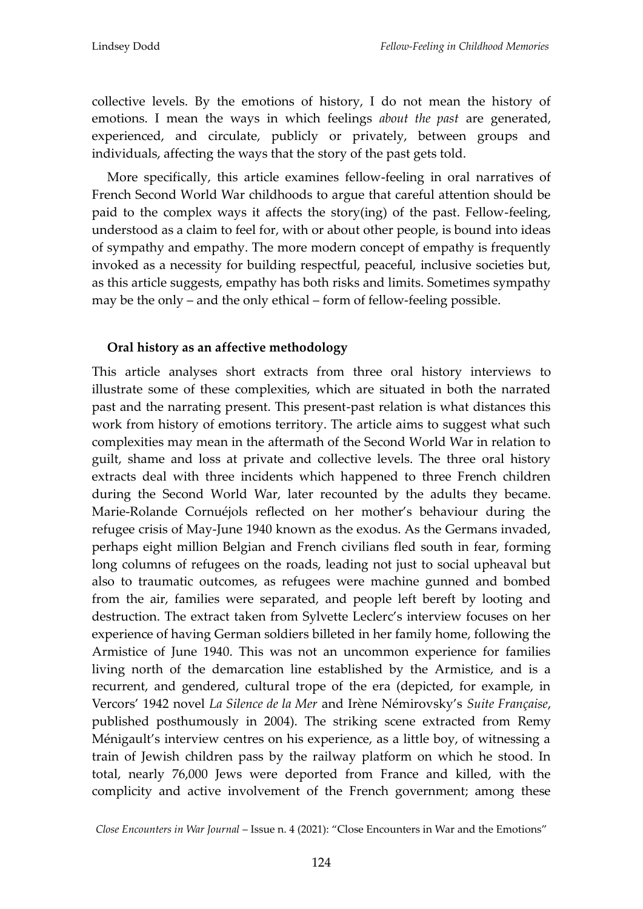collective levels. By the emotions of history, I do not mean the history of emotions. I mean the ways in which feelings *about the past* are generated, experienced, and circulate, publicly or privately, between groups and individuals, affecting the ways that the story of the past gets told.

More specifically, this article examines fellow-feeling in oral narratives of French Second World War childhoods to argue that careful attention should be paid to the complex ways it affects the story(ing) of the past. Fellow-feeling, understood as a claim to feel for, with or about other people, is bound into ideas of sympathy and empathy. The more modern concept of empathy is frequently invoked as a necessity for building respectful, peaceful, inclusive societies but, as this article suggests, empathy has both risks and limits. Sometimes sympathy may be the only – and the only ethical – form of fellow-feeling possible.

## **Oral history as an affective methodology**

This article analyses short extracts from three oral history interviews to illustrate some of these complexities, which are situated in both the narrated past and the narrating present. This present-past relation is what distances this work from history of emotions territory. The article aims to suggest what such complexities may mean in the aftermath of the Second World War in relation to guilt, shame and loss at private and collective levels. The three oral history extracts deal with three incidents which happened to three French children during the Second World War, later recounted by the adults they became. Marie-Rolande Cornuéjols reflected on her mother's behaviour during the refugee crisis of May-June 1940 known as the exodus. As the Germans invaded, perhaps eight million Belgian and French civilians fled south in fear, forming long columns of refugees on the roads, leading not just to social upheaval but also to traumatic outcomes, as refugees were machine gunned and bombed from the air, families were separated, and people left bereft by looting and destruction. The extract taken from Sylvette Leclerc's interview focuses on her experience of having German soldiers billeted in her family home, following the Armistice of June 1940. This was not an uncommon experience for families living north of the demarcation line established by the Armistice, and is a recurrent, and gendered, cultural trope of the era (depicted, for example, in Vercors' 1942 novel *La Silence de la Mer* and Irène Némirovsky's *Suite Française*, published posthumously in 2004). The striking scene extracted from Remy Ménigault's interview centres on his experience, as a little boy, of witnessing a train of Jewish children pass by the railway platform on which he stood. In total, nearly 76,000 Jews were deported from France and killed, with the complicity and active involvement of the French government; among these

*Close Encounters in War Journal* – Issue n. 4 (2021): 'Close Encounters in War and the Emotions'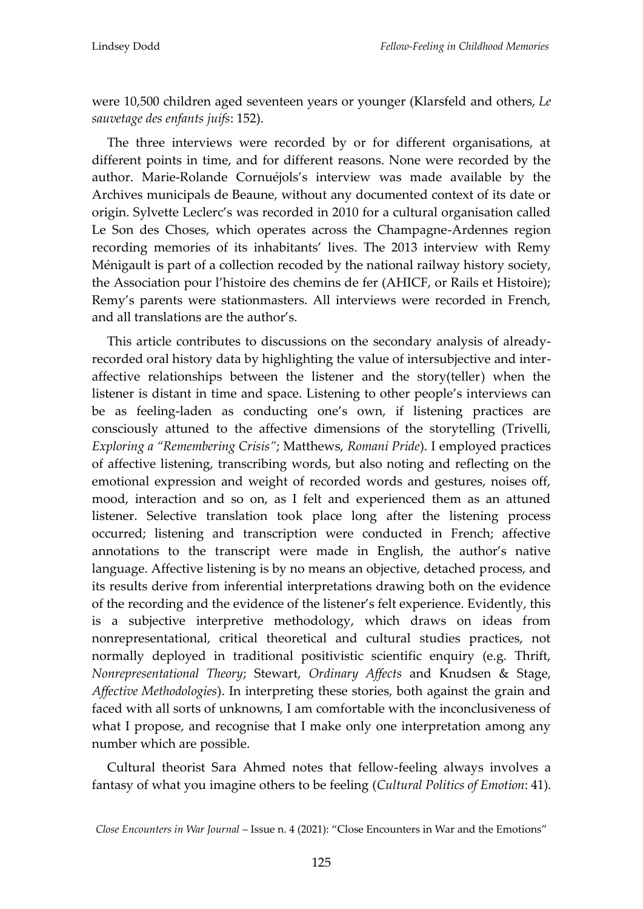were 10,500 children aged seventeen years or younger (Klarsfeld and others, *Le sauvetage des enfants juifs*: 152).

The three interviews were recorded by or for different organisations, at different points in time, and for different reasons. None were recorded by the author. Marie-Rolande Cornuéjols's interview was made available by the Archives municipals de Beaune, without any documented context of its date or origin. Sylvette Leclerc's was recorded in 2010 for a cultural organisation called Le Son des Choses, which operates across the Champagne-Ardennes region recording memories of its inhabitants' lives. The 2013 interview with Remy Ménigault is part of a collection recoded by the national railway history society, the Association pour l'histoire des chemins de fer (AHICF, or Rails et Histoire); Remy's parents were stationmasters. All interviews were recorded in French, and all translations are the author's.

This article contributes to discussions on the secondary analysis of alreadyrecorded oral history data by highlighting the value of intersubjective and interaffective relationships between the listener and the story(teller) when the listener is distant in time and space. Listening to other people's interviews can be as feeling-laden as conducting one's own, if listening practices are consciously attuned to the affective dimensions of the storytelling (Trivelli, *Exploring a "Remembering Crisis"*; Matthews, *Romani Pride*). I employed practices of affective listening, transcribing words, but also noting and reflecting on the emotional expression and weight of recorded words and gestures, noises off, mood, interaction and so on, as I felt and experienced them as an attuned listener. Selective translation took place long after the listening process occurred; listening and transcription were conducted in French; affective annotations to the transcript were made in English, the author's native language. Affective listening is by no means an objective, detached process, and its results derive from inferential interpretations drawing both on the evidence of the recording and the evidence of the listener's felt experience. Evidently, this is a subjective interpretive methodology, which draws on ideas from nonrepresentational, critical theoretical and cultural studies practices, not normally deployed in traditional positivistic scientific enquiry (e.g. Thrift, *Nonrepresentational Theory*; Stewart, *Ordinary Affects* and Knudsen & Stage, *Affective Methodologies*). In interpreting these stories, both against the grain and faced with all sorts of unknowns, I am comfortable with the inconclusiveness of what I propose, and recognise that I make only one interpretation among any number which are possible.

Cultural theorist Sara Ahmed notes that fellow-feeling always involves a fantasy of what you imagine others to be feeling (*Cultural Politics of Emotion*: 41).

*Close Encounters in War Journal* – Issue n. 4 (2021): 'Close Encounters in War and the Emotions'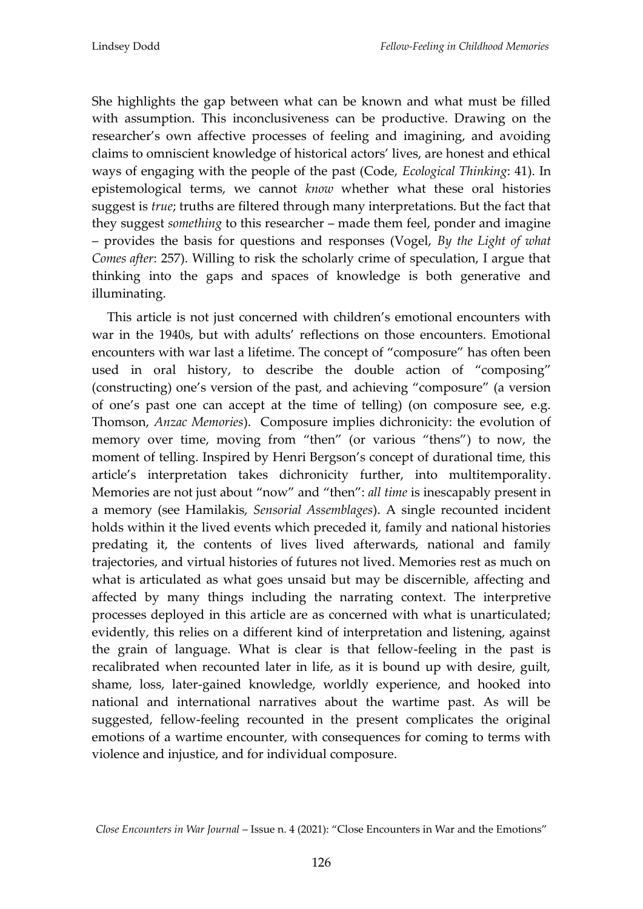She highlights the gap between what can be known and what must be filled with assumption. This inconclusiveness can be productive. Drawing on the researcher's own affective processes of feeling and imagining, and avoiding claims to omniscient knowledge of historical actors' lives, are honest and ethical ways of engaging with the people of the past (Code, *Ecological Thinking*: 41). In epistemological terms, we cannot *know* whether what these oral histories suggest is *true*; truths are filtered through many interpretations. But the fact that they suggest *something* to this researcher – made them feel, ponder and imagine – provides the basis for questions and responses (Vogel, *By the Light of what Comes after*: 257). Willing to risk the scholarly crime of speculation, I argue that thinking into the gaps and spaces of knowledge is both generative and illuminating.

This article is not just concerned with children's emotional encounters with war in the 1940s, but with adults' reflections on those encounters. Emotional encounters with war last a lifetime. The concept of 'composure' has often been used in oral history, to describe the double action of 'composing' (constructing) one's version of the past, and achieving 'composure' (a version of one's past one can accept at the time of telling) (on composure see, e.g. Thomson, *Anzac Memories*). Composure implies dichronicity: the evolution of memory over time, moving from "then" (or various "thens") to now, the moment of telling. Inspired by Henri Bergson's concept of durational time, this article's interpretation takes dichronicity further, into multitemporality. Memories are not just about 'now' and 'then': *all time* is inescapably present in a memory (see Hamilakis, *Sensorial Assemblages*). A single recounted incident holds within it the lived events which preceded it, family and national histories predating it, the contents of lives lived afterwards, national and family trajectories, and virtual histories of futures not lived. Memories rest as much on what is articulated as what goes unsaid but may be discernible, affecting and affected by many things including the narrating context. The interpretive processes deployed in this article are as concerned with what is unarticulated; evidently, this relies on a different kind of interpretation and listening, against the grain of language. What is clear is that fellow-feeling in the past is recalibrated when recounted later in life, as it is bound up with desire, guilt, shame, loss, later-gained knowledge, worldly experience, and hooked into national and international narratives about the wartime past. As will be suggested, fellow-feeling recounted in the present complicates the original emotions of a wartime encounter, with consequences for coming to terms with violence and injustice, and for individual composure.

*Close Encounters in War Journal* – Issue n. 4 (2021): 'Close Encounters in War and the Emotions'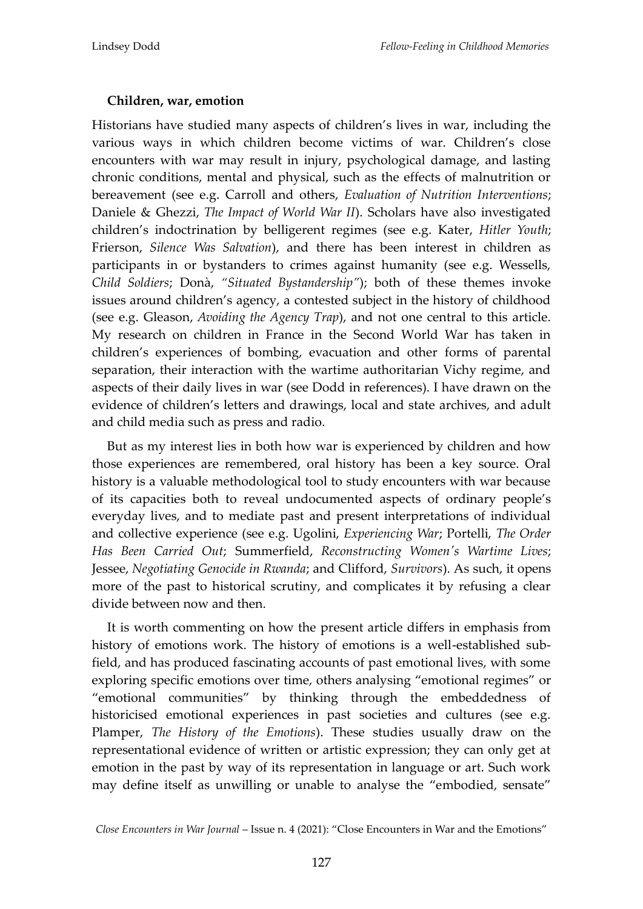# **Children, war, emotion**

Historians have studied many aspects of children's lives in war, including the various ways in which children become victims of war. Children's close encounters with war may result in injury, psychological damage, and lasting chronic conditions, mental and physical, such as the effects of malnutrition or bereavement (see e.g. Carroll and others, *Evaluation of Nutrition Interventions*; Daniele & Ghezzi, *The Impact of World War II*). Scholars have also investigated children's indoctrination by belligerent regimes (see e.g. Kater, *Hitler Youth*; Frierson, *Silence Was Salvation*), and there has been interest in children as participants in or bystanders to crimes against humanity (see e.g. Wessells, *Child Soldiers*; Donà, *"Situated Bystandership"*); both of these themes invoke issues around children's agency, a contested subject in the history of childhood (see e.g. Gleason, *Avoiding the Agency Trap*), and not one central to this article. My research on children in France in the Second World War has taken in children's experiences of bombing, evacuation and other forms of parental separation, their interaction with the wartime authoritarian Vichy regime, and aspects of their daily lives in war (see Dodd in references). I have drawn on the evidence of children's letters and drawings, local and state archives, and adult and child media such as press and radio.

But as my interest lies in both how war is experienced by children and how those experiences are remembered, oral history has been a key source. Oral history is a valuable methodological tool to study encounters with war because of its capacities both to reveal undocumented aspects of ordinary people's everyday lives, and to mediate past and present interpretations of individual and collective experience (see e.g. Ugolini, *Experiencing War*; Portelli, *The Order Has Been Carried Out*; Summerfield, *Reconstructing Women's Wartime Lives*; Jessee, *Negotiating Genocide in Rwanda*; and Clifford, *Survivors*). As such, it opens more of the past to historical scrutiny, and complicates it by refusing a clear divide between now and then.

It is worth commenting on how the present article differs in emphasis from history of emotions work. The history of emotions is a well-established subfield, and has produced fascinating accounts of past emotional lives, with some exploring specific emotions over time, others analysing 'emotional regimes' or 'emotional communities' by thinking through the embeddedness of historicised emotional experiences in past societies and cultures (see e.g. Plamper, *The History of the Emotions*). These studies usually draw on the representational evidence of written or artistic expression; they can only get at emotion in the past by way of its representation in language or art. Such work may define itself as unwilling or unable to analyse the 'embodied, sensate'

*Close Encounters in War Journal* – Issue n. 4 (2021): 'Close Encounters in War and the Emotions'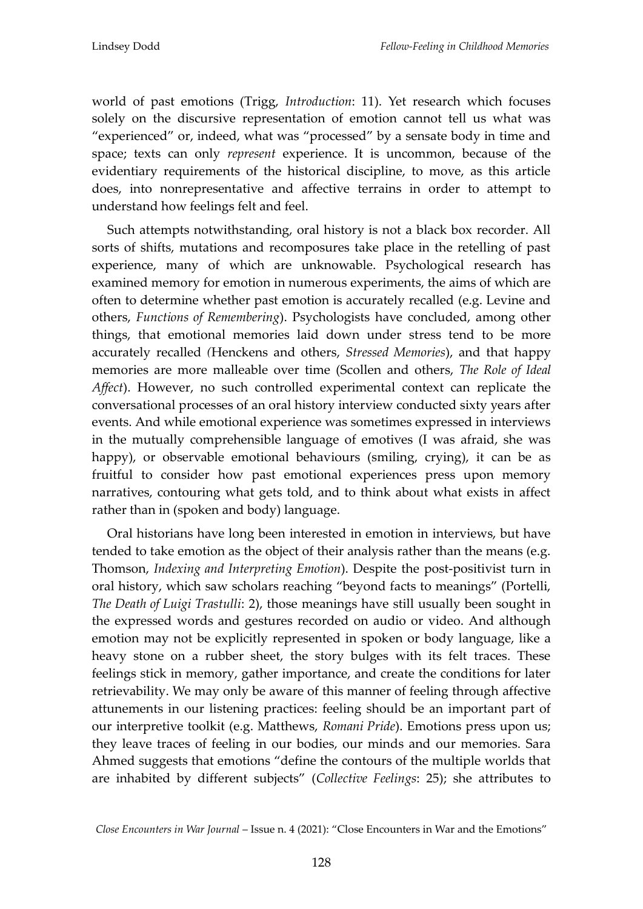world of past emotions (Trigg, *Introduction*: 11). Yet research which focuses solely on the discursive representation of emotion cannot tell us what was 'experienced' or, indeed, what was 'processed' by a sensate body in time and space; texts can only *represent* experience. It is uncommon, because of the evidentiary requirements of the historical discipline, to move, as this article does, into nonrepresentative and affective terrains in order to attempt to understand how feelings felt and feel.

Such attempts notwithstanding, oral history is not a black box recorder. All sorts of shifts, mutations and recomposures take place in the retelling of past experience, many of which are unknowable. Psychological research has examined memory for emotion in numerous experiments, the aims of which are often to determine whether past emotion is accurately recalled (e.g. Levine and others, *Functions of Remembering*). Psychologists have concluded, among other things, that emotional memories laid down under stress tend to be more accurately recalled *(*Henckens and others, *Stressed Memories*), and that happy memories are more malleable over time (Scollen and others, *The Role of Ideal Affect*). However, no such controlled experimental context can replicate the conversational processes of an oral history interview conducted sixty years after events. And while emotional experience was sometimes expressed in interviews in the mutually comprehensible language of emotives (I was afraid, she was happy), or observable emotional behaviours (smiling, crying), it can be as fruitful to consider how past emotional experiences press upon memory narratives, contouring what gets told, and to think about what exists in affect rather than in (spoken and body) language.

Oral historians have long been interested in emotion in interviews, but have tended to take emotion as the object of their analysis rather than the means (e.g. Thomson, *Indexing and Interpreting Emotion*). Despite the post-positivist turn in oral history, which saw scholars reaching 'beyond facts to meanings' (Portelli, *The Death of Luigi Trastulli*: 2), those meanings have still usually been sought in the expressed words and gestures recorded on audio or video. And although emotion may not be explicitly represented in spoken or body language, like a heavy stone on a rubber sheet, the story bulges with its felt traces. These feelings stick in memory, gather importance, and create the conditions for later retrievability. We may only be aware of this manner of feeling through affective attunements in our listening practices: feeling should be an important part of our interpretive toolkit (e.g. Matthews, *Romani Pride*). Emotions press upon us; they leave traces of feeling in our bodies, our minds and our memories. Sara Ahmed suggests that emotions 'define the contours of the multiple worlds that are inhabited by different subjects' (*Collective Feelings*: 25); she attributes to

*Close Encounters in War Journal* – Issue n. 4 (2021): 'Close Encounters in War and the Emotions'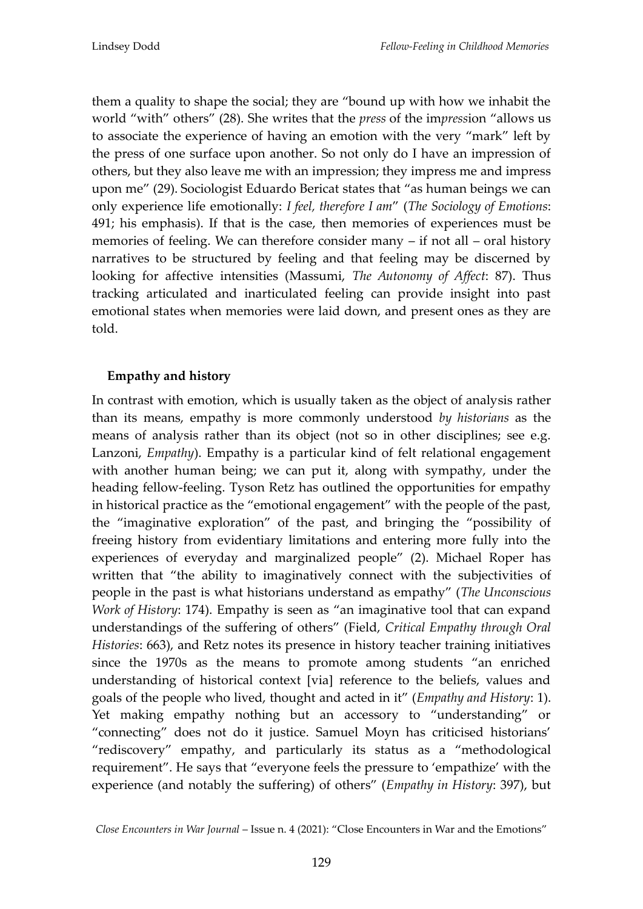them a quality to shape the social; they are 'bound up with how we inhabit the world 'with' others' (28). She writes that the *press* of the im*press*ion 'allows us to associate the experience of having an emotion with the very 'mark' left by the press of one surface upon another. So not only do I have an impression of others, but they also leave me with an impression; they impress me and impress upon me' (29). Sociologist Eduardo Bericat states that 'as human beings we can only experience life emotionally: *I feel, therefore I am*' (*The Sociology of Emotions*: 491; his emphasis). If that is the case, then memories of experiences must be memories of feeling. We can therefore consider many – if not all – oral history narratives to be structured by feeling and that feeling may be discerned by looking for affective intensities (Massumi, *The Autonomy of Affect*: 87). Thus tracking articulated and inarticulated feeling can provide insight into past emotional states when memories were laid down, and present ones as they are told.

## **Empathy and history**

In contrast with emotion, which is usually taken as the object of analysis rather than its means, empathy is more commonly understood *by historians* as the means of analysis rather than its object (not so in other disciplines; see e.g. Lanzoni, *Empathy*). Empathy is a particular kind of felt relational engagement with another human being; we can put it, along with sympathy, under the heading fellow-feeling. Tyson Retz has outlined the opportunities for empathy in historical practice as the 'emotional engagement' with the people of the past, the 'imaginative exploration' of the past, and bringing the 'possibility of freeing history from evidentiary limitations and entering more fully into the experiences of everyday and marginalized people' (2). Michael Roper has written that "the ability to imaginatively connect with the subjectivities of people in the past is what historians understand as empathy' (*The Unconscious Work of History*: 174). Empathy is seen as "an imaginative tool that can expand understandings of the suffering of others' (Field, *Critical Empathy through Oral Histories*: 663), and Retz notes its presence in history teacher training initiatives since the 1970s as the means to promote among students "an enriched understanding of historical context [via] reference to the beliefs, values and goals of the people who lived, thought and acted in it' (*Empathy and History*: 1). Yet making empathy nothing but an accessory to 'understanding' or 'connecting' does not do it justice. Samuel Moyn has criticised historians' 'rediscovery' empathy, and particularly its status as a 'methodological requirement'. He says that 'everyone feels the pressure to 'empathize' with the experience (and notably the suffering) of others' (*Empathy in History*: 397), but

*Close Encounters in War Journal* – Issue n. 4 (2021): 'Close Encounters in War and the Emotions'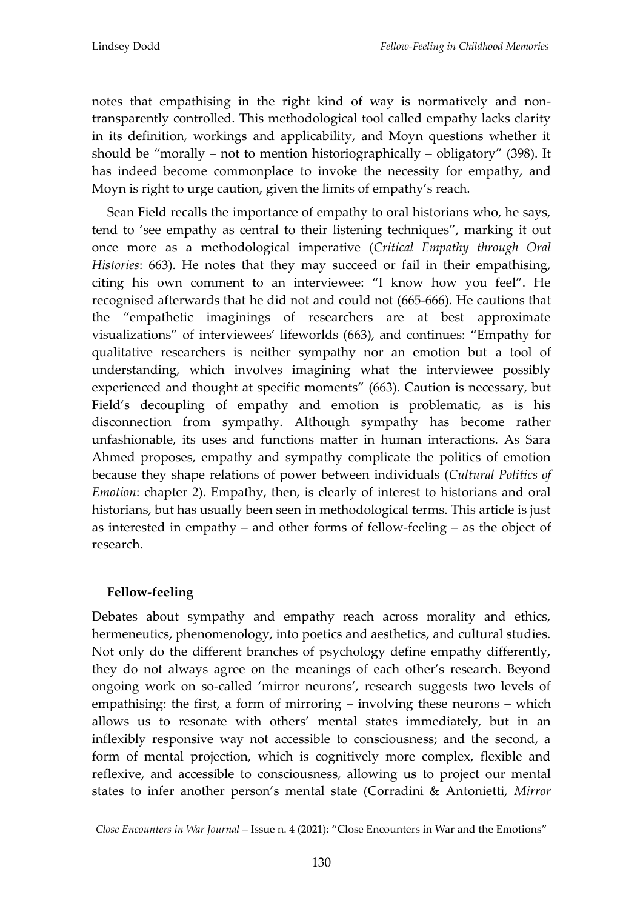notes that empathising in the right kind of way is normatively and nontransparently controlled. This methodological tool called empathy lacks clarity in its definition, workings and applicability, and Moyn questions whether it should be 'morally – not to mention historiographically – obligatory' (398). It has indeed become commonplace to invoke the necessity for empathy, and Moyn is right to urge caution, given the limits of empathy's reach.

Sean Field recalls the importance of empathy to oral historians who, he says, tend to 'see empathy as central to their listening techniques', marking it out once more as a methodological imperative (*Critical Empathy through Oral Histories*: 663). He notes that they may succeed or fail in their empathising, citing his own comment to an interviewee: 'I know how you feel'. He recognised afterwards that he did not and could not (665-666). He cautions that the 'empathetic imaginings of researchers are at best approximate visualizations' of interviewees' lifeworlds (663), and continues: 'Empathy for qualitative researchers is neither sympathy nor an emotion but a tool of understanding, which involves imagining what the interviewee possibly experienced and thought at specific moments' (663). Caution is necessary, but Field's decoupling of empathy and emotion is problematic, as is his disconnection from sympathy. Although sympathy has become rather unfashionable, its uses and functions matter in human interactions. As Sara Ahmed proposes, empathy and sympathy complicate the politics of emotion because they shape relations of power between individuals (*Cultural Politics of Emotion*: chapter 2). Empathy, then, is clearly of interest to historians and oral historians, but has usually been seen in methodological terms. This article is just as interested in empathy – and other forms of fellow-feeling – as the object of research.

#### **Fellow-feeling**

Debates about sympathy and empathy reach across morality and ethics, hermeneutics, phenomenology, into poetics and aesthetics, and cultural studies. Not only do the different branches of psychology define empathy differently, they do not always agree on the meanings of each other's research. Beyond ongoing work on so-called 'mirror neurons', research suggests two levels of empathising: the first, a form of mirroring – involving these neurons – which allows us to resonate with others' mental states immediately, but in an inflexibly responsive way not accessible to consciousness; and the second, a form of mental projection, which is cognitively more complex, flexible and reflexive, and accessible to consciousness, allowing us to project our mental states to infer another person's mental state (Corradini & Antonietti, *Mirror* 

*Close Encounters in War Journal* – Issue n. 4 (2021): 'Close Encounters in War and the Emotions'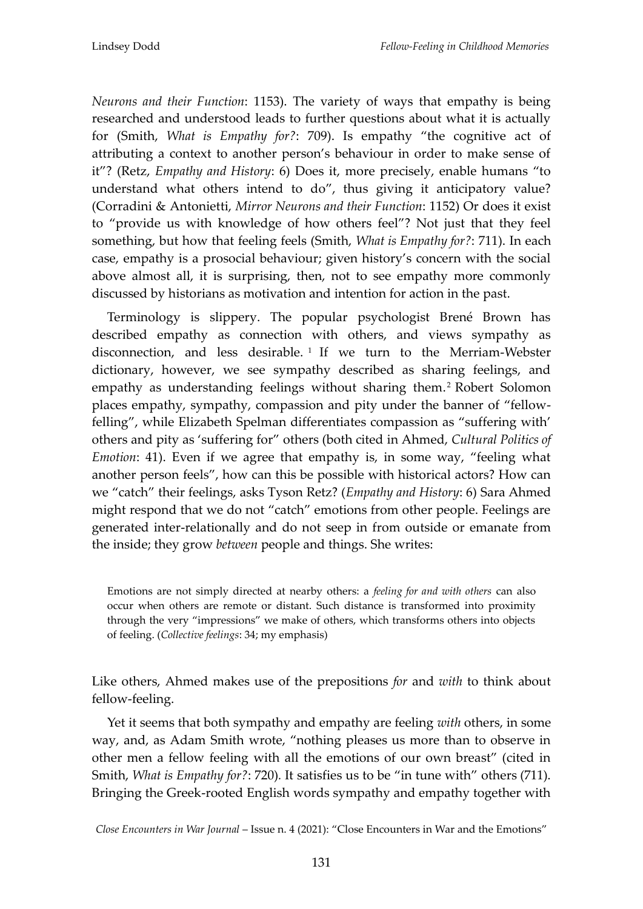*Neurons and their Function*: 1153). The variety of ways that empathy is being researched and understood leads to further questions about what it is actually for (Smith, *What is Empathy for?*: 709). Is empathy 'the cognitive act of attributing a context to another person's behaviour in order to make sense of it'? (Retz, *Empathy and History*: 6) Does it, more precisely, enable humans 'to understand what others intend to do', thus giving it anticipatory value? (Corradini & Antonietti, *Mirror Neurons and their Function*: 1152) Or does it exist to 'provide us with knowledge of how others feel'? Not just that they feel something, but how that feeling feels (Smith, *What is Empathy for?*: 711). In each case, empathy is a prosocial behaviour; given history's concern with the social above almost all, it is surprising, then, not to see empathy more commonly discussed by historians as motivation and intention for action in the past.

Terminology is slippery. The popular psychologist Brené Brown has described empathy as connection with others, and views sympathy as disconnection, and less desirable. <sup>1</sup> If we turn to the Merriam-Webster dictionary, however, we see sympathy described as sharing feelings, and empathy as understanding feelings without sharing them. <sup>2</sup> Robert Solomon places empathy, sympathy, compassion and pity under the banner of 'fellowfelling', while Elizabeth Spelman differentiates compassion as 'suffering with' others and pity as 'suffering for' others (both cited in Ahmed, *Cultural Politics of Emotion*: 41). Even if we agree that empathy is, in some way, 'feeling what another person feels', how can this be possible with historical actors? How can we 'catch' their feelings, asks Tyson Retz? (*Empathy and History*: 6) Sara Ahmed might respond that we do not "catch" emotions from other people. Feelings are generated inter-relationally and do not seep in from outside or emanate from the inside; they grow *between* people and things. She writes:

Emotions are not simply directed at nearby others: a *feeling for and with others* can also occur when others are remote or distant. Such distance is transformed into proximity through the very 'impressions' we make of others, which transforms others into objects of feeling. (*Collective feelings*: 34; my emphasis)

Like others, Ahmed makes use of the prepositions *for* and *with* to think about fellow-feeling.

Yet it seems that both sympathy and empathy are feeling *with* others, in some way, and, as Adam Smith wrote, 'nothing pleases us more than to observe in other men a fellow feeling with all the emotions of our own breast' (cited in Smith, *What is Empathy for?*: 720)*.* It satisfies us to be 'in tune with' others (711). Bringing the Greek-rooted English words sympathy and empathy together with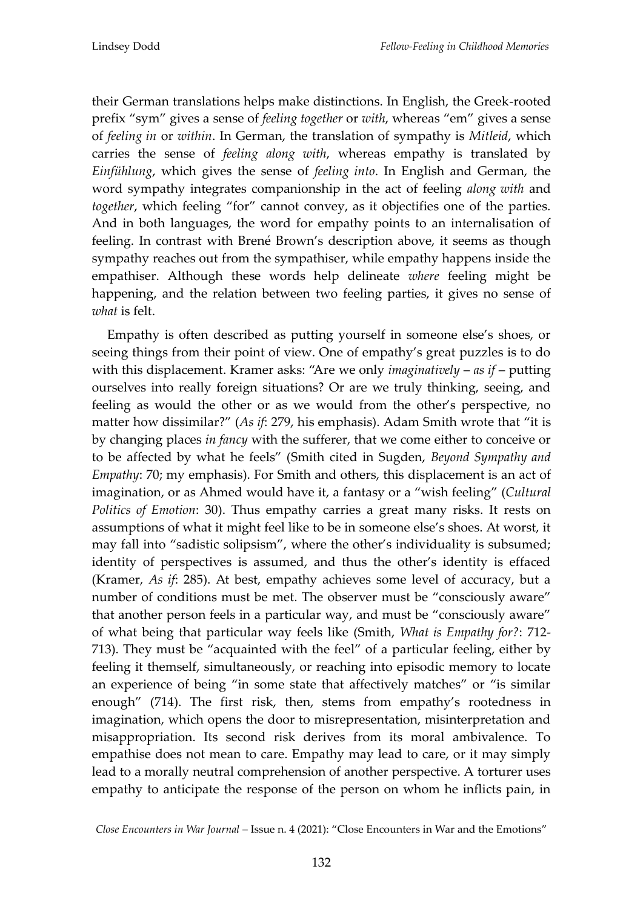their German translations helps make distinctions. In English, the Greek-rooted prefix 'sym' gives a sense of *feeling together* or *with*, whereas 'em' gives a sense of *feeling in* or *within*. In German, the translation of sympathy is *Mitleid*, which carries the sense of *feeling along with*, whereas empathy is translated by *Einfühlung*, which gives the sense of *feeling into*. In English and German, the word sympathy integrates companionship in the act of feeling *along with* and *together*, which feeling 'for' cannot convey, as it objectifies one of the parties. And in both languages, the word for empathy points to an internalisation of feeling. In contrast with Brené Brown's description above, it seems as though sympathy reaches out from the sympathiser, while empathy happens inside the empathiser. Although these words help delineate *where* feeling might be happening, and the relation between two feeling parties, it gives no sense of *what* is felt.

Empathy is often described as putting yourself in someone else's shoes, or seeing things from their point of view. One of empathy's great puzzles is to do with this displacement. Kramer asks: 'Are we only *imaginatively* – *as if* – putting ourselves into really foreign situations? Or are we truly thinking, seeing, and feeling as would the other or as we would from the other's perspective, no matter how dissimilar?' (*As if*: 279, his emphasis). Adam Smith wrote that 'it is by changing places *in fancy* with the sufferer, that we come either to conceive or to be affected by what he feels' (Smith cited in Sugden, *Beyond Sympathy and Empathy*: 70; my emphasis). For Smith and others, this displacement is an act of imagination, or as Ahmed would have it, a fantasy or a 'wish feeling' (*Cultural Politics of Emotion*: 30). Thus empathy carries a great many risks. It rests on assumptions of what it might feel like to be in someone else's shoes. At worst, it may fall into "sadistic solipsism", where the other's individuality is subsumed; identity of perspectives is assumed, and thus the other's identity is effaced (Kramer, *As if*: 285). At best, empathy achieves some level of accuracy, but a number of conditions must be met. The observer must be "consciously aware" that another person feels in a particular way, and must be 'consciously aware' of what being that particular way feels like (Smith, *What is Empathy for?*: 712- 713). They must be 'acquainted with the feel' of a particular feeling, either by feeling it themself, simultaneously, or reaching into episodic memory to locate an experience of being "in some state that affectively matches" or "is similar enough' (714). The first risk, then, stems from empathy's rootedness in imagination, which opens the door to misrepresentation, misinterpretation and misappropriation. Its second risk derives from its moral ambivalence. To empathise does not mean to care. Empathy may lead to care, or it may simply lead to a morally neutral comprehension of another perspective. A torturer uses empathy to anticipate the response of the person on whom he inflicts pain, in

*Close Encounters in War Journal* – Issue n. 4 (2021): 'Close Encounters in War and the Emotions'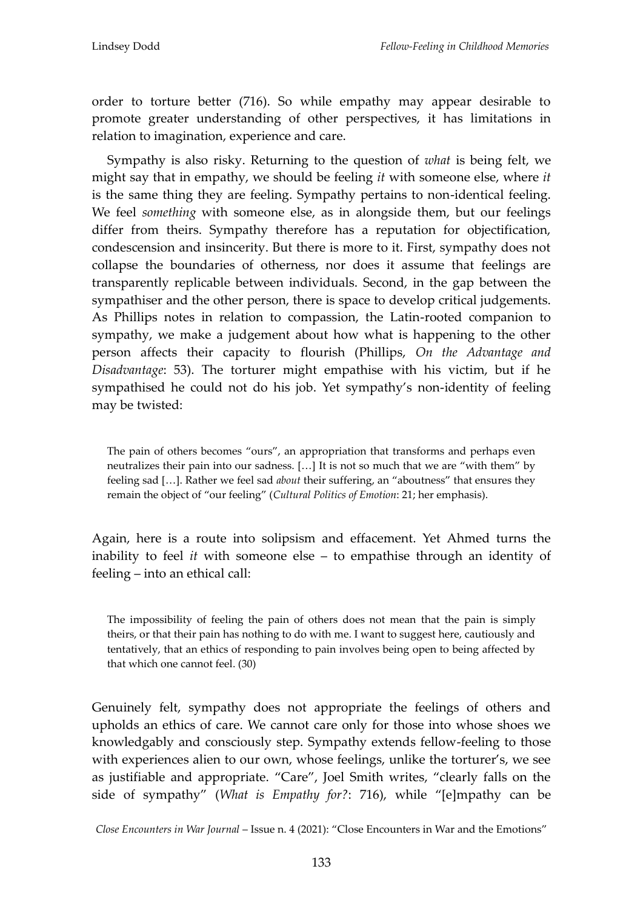order to torture better (716). So while empathy may appear desirable to promote greater understanding of other perspectives, it has limitations in relation to imagination, experience and care.

Sympathy is also risky. Returning to the question of *what* is being felt, we might say that in empathy, we should be feeling *it* with someone else, where *it* is the same thing they are feeling. Sympathy pertains to non-identical feeling. We feel *something* with someone else, as in alongside them, but our feelings differ from theirs. Sympathy therefore has a reputation for objectification, condescension and insincerity. But there is more to it. First, sympathy does not collapse the boundaries of otherness, nor does it assume that feelings are transparently replicable between individuals. Second, in the gap between the sympathiser and the other person, there is space to develop critical judgements. As Phillips notes in relation to compassion, the Latin-rooted companion to sympathy, we make a judgement about how what is happening to the other person affects their capacity to flourish (Phillips, *On the Advantage and Disadvantage*: 53). The torturer might empathise with his victim, but if he sympathised he could not do his job. Yet sympathy's non-identity of feeling may be twisted:

The pain of others becomes 'ours', an appropriation that transforms and perhaps even neutralizes their pain into our sadness.  $[...]$  It is not so much that we are "with them" by feeling sad [...]. Rather we feel sad *about* their suffering, an "aboutness" that ensures they remain the object of 'our feeling' (*Cultural Politics of Emotion*: 21; her emphasis).

Again, here is a route into solipsism and effacement. Yet Ahmed turns the inability to feel *it* with someone else – to empathise through an identity of feeling – into an ethical call:

The impossibility of feeling the pain of others does not mean that the pain is simply theirs, or that their pain has nothing to do with me. I want to suggest here, cautiously and tentatively, that an ethics of responding to pain involves being open to being affected by that which one cannot feel. (30)

Genuinely felt, sympathy does not appropriate the feelings of others and upholds an ethics of care. We cannot care only for those into whose shoes we knowledgably and consciously step. Sympathy extends fellow-feeling to those with experiences alien to our own, whose feelings, unlike the torturer's, we see as justifiable and appropriate. 'Care', Joel Smith writes, 'clearly falls on the side of sympathy" (*What is Empathy for*?: 716), while "[e]mpathy can be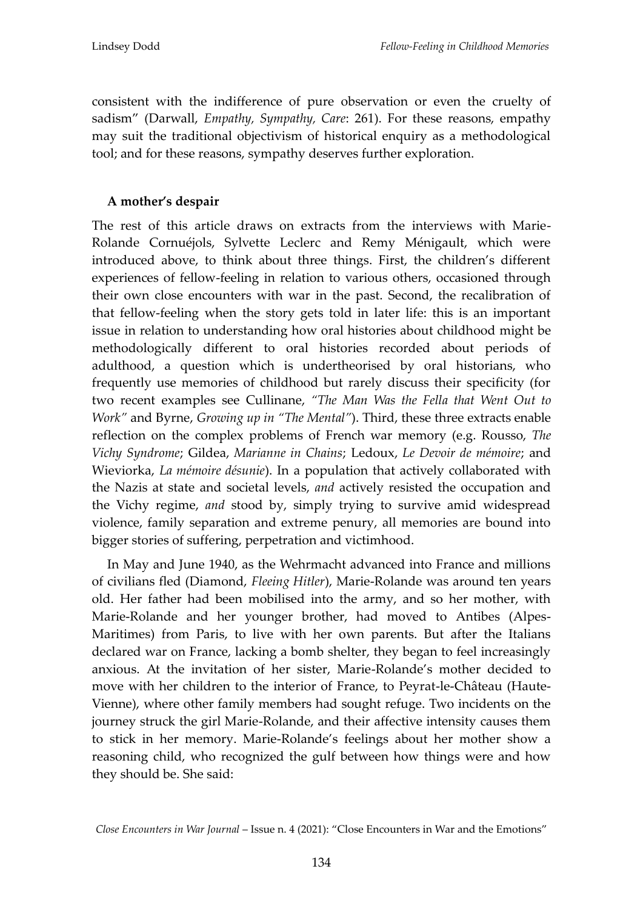consistent with the indifference of pure observation or even the cruelty of sadism' (Darwall, *Empathy, Sympathy, Care*: 261). For these reasons, empathy may suit the traditional objectivism of historical enquiry as a methodological tool; and for these reasons, sympathy deserves further exploration.

# **A mother's despair**

The rest of this article draws on extracts from the interviews with Marie-Rolande Cornuéjols, Sylvette Leclerc and Remy Ménigault, which were introduced above, to think about three things. First, the children's different experiences of fellow-feeling in relation to various others, occasioned through their own close encounters with war in the past. Second, the recalibration of that fellow-feeling when the story gets told in later life: this is an important issue in relation to understanding how oral histories about childhood might be methodologically different to oral histories recorded about periods of adulthood, a question which is undertheorised by oral historians, who frequently use memories of childhood but rarely discuss their specificity (for two recent examples see Cullinane, *"The Man Was the Fella that Went Out to Work"* and Byrne, *Growing up in "The Mental"*). Third, these three extracts enable reflection on the complex problems of French war memory (e.g. Rousso, *The Vichy Syndrome*; Gildea, *Marianne in Chains*; Ledoux, *Le Devoir de mémoire*; and Wieviorka, *La mémoire désunie*). In a population that actively collaborated with the Nazis at state and societal levels, *and* actively resisted the occupation and the Vichy regime, *and* stood by, simply trying to survive amid widespread violence, family separation and extreme penury, all memories are bound into bigger stories of suffering, perpetration and victimhood.

In May and June 1940, as the Wehrmacht advanced into France and millions of civilians fled (Diamond, *Fleeing Hitler*), Marie-Rolande was around ten years old. Her father had been mobilised into the army, and so her mother, with Marie-Rolande and her younger brother, had moved to Antibes (Alpes-Maritimes) from Paris, to live with her own parents. But after the Italians declared war on France, lacking a bomb shelter, they began to feel increasingly anxious. At the invitation of her sister, Marie-Rolande's mother decided to move with her children to the interior of France, to Peyrat-le-Château (Haute-Vienne), where other family members had sought refuge. Two incidents on the journey struck the girl Marie-Rolande, and their affective intensity causes them to stick in her memory. Marie-Rolande's feelings about her mother show a reasoning child, who recognized the gulf between how things were and how they should be. She said:

*Close Encounters in War Journal* – Issue n. 4 (2021): 'Close Encounters in War and the Emotions'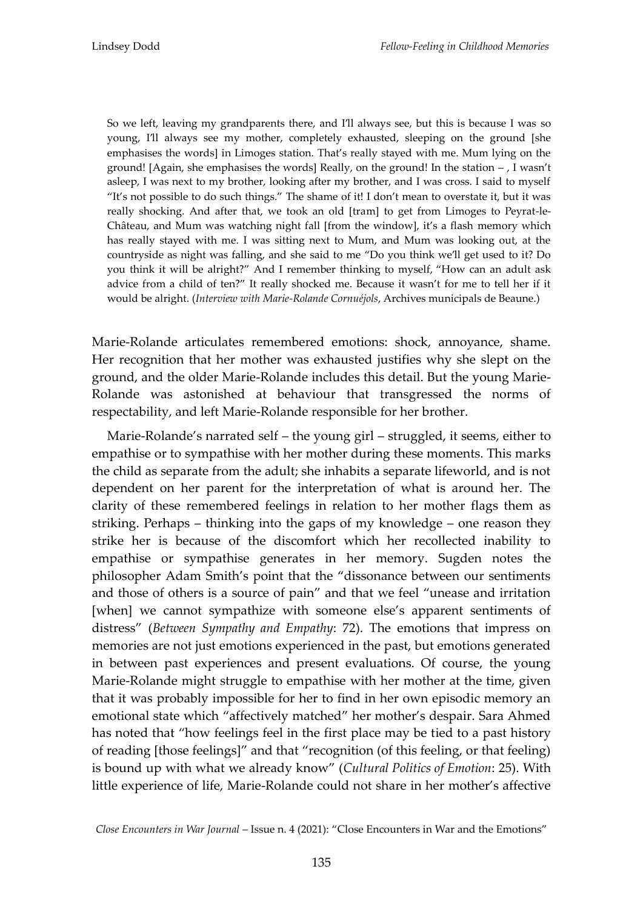So we left, leaving my grandparents there, and I'll always see, but this is because I was so young, I'll always see my mother, completely exhausted, sleeping on the ground [she emphasises the words] in Limoges station. That's really stayed with me. Mum lying on the ground! [Again, she emphasises the words] Really, on the ground! In the station  $-$  , I wasn't asleep, I was next to my brother, looking after my brother, and I was cross. I said to myself 'It's not possible to do such things.' The shame of it! I don't mean to overstate it, but it was really shocking. And after that, we took an old [tram] to get from Limoges to Peyrat-le-Château, and Mum was watching night fall [from the window], it's a flash memory which has really stayed with me. I was sitting next to Mum, and Mum was looking out, at the countryside as night was falling, and she said to me 'Do you think we'll get used to it? Do you think it will be alright?' And I remember thinking to myself, 'How can an adult ask advice from a child of ten?' It really shocked me. Because it wasn't for me to tell her if it would be alright. (*Interview with Marie-Rolande Cornuéjols*, Archives municipals de Beaune.)

Marie-Rolande articulates remembered emotions: shock, annoyance, shame. Her recognition that her mother was exhausted justifies why she slept on the ground, and the older Marie-Rolande includes this detail. But the young Marie-Rolande was astonished at behaviour that transgressed the norms of respectability, and left Marie-Rolande responsible for her brother.

Marie-Rolande's narrated self – the young girl – struggled, it seems, either to empathise or to sympathise with her mother during these moments. This marks the child as separate from the adult; she inhabits a separate lifeworld, and is not dependent on her parent for the interpretation of what is around her. The clarity of these remembered feelings in relation to her mother flags them as striking. Perhaps – thinking into the gaps of my knowledge – one reason they strike her is because of the discomfort which her recollected inability to empathise or sympathise generates in her memory. Sugden notes the philosopher Adam Smith's point that the 'dissonance between our sentiments and those of others is a source of pain' and that we feel 'unease and irritation [when] we cannot sympathize with someone else's apparent sentiments of distress' (*Between Sympathy and Empathy*: 72). The emotions that impress on memories are not just emotions experienced in the past, but emotions generated in between past experiences and present evaluations. Of course, the young Marie-Rolande might struggle to empathise with her mother at the time, given that it was probably impossible for her to find in her own episodic memory an emotional state which 'affectively matched' her mother's despair. Sara Ahmed has noted that 'how feelings feel in the first place may be tied to a past history of reading [those feelings]" and that "recognition (of this feeling, or that feeling) is bound up with what we already know' (*Cultural Politics of Emotion*: 25). With little experience of life, Marie-Rolande could not share in her mother's affective

*Close Encounters in War Journal* – Issue n. 4 (2021): 'Close Encounters in War and the Emotions'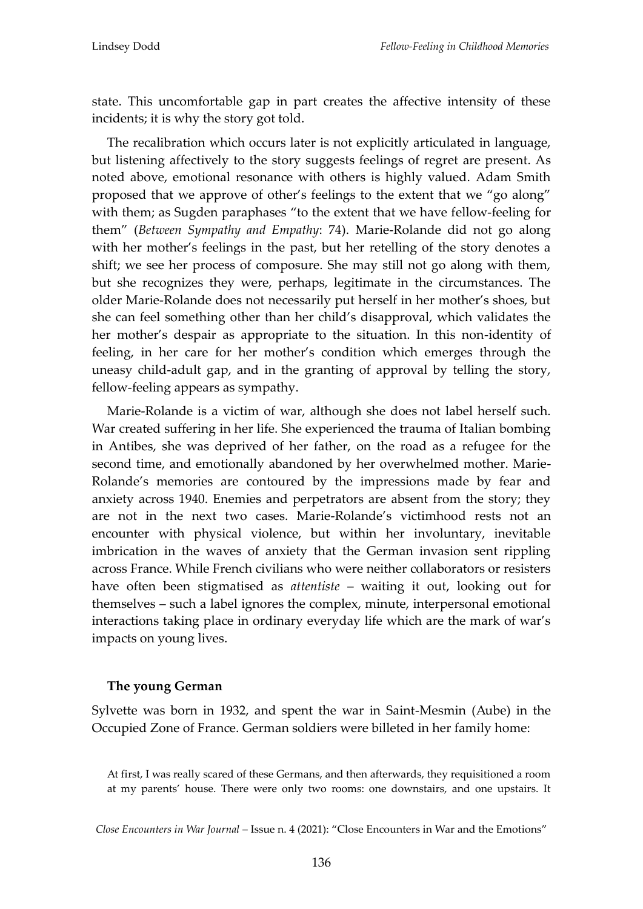state. This uncomfortable gap in part creates the affective intensity of these incidents; it is why the story got told.

The recalibration which occurs later is not explicitly articulated in language, but listening affectively to the story suggests feelings of regret are present. As noted above, emotional resonance with others is highly valued. Adam Smith proposed that we approve of other's feelings to the extent that we 'go along' with them; as Sugden paraphases 'to the extent that we have fellow-feeling for them' (*Between Sympathy and Empathy*: 74). Marie-Rolande did not go along with her mother's feelings in the past, but her retelling of the story denotes a shift; we see her process of composure. She may still not go along with them, but she recognizes they were, perhaps, legitimate in the circumstances. The older Marie-Rolande does not necessarily put herself in her mother's shoes, but she can feel something other than her child's disapproval, which validates the her mother's despair as appropriate to the situation. In this non-identity of feeling, in her care for her mother's condition which emerges through the uneasy child-adult gap, and in the granting of approval by telling the story, fellow-feeling appears as sympathy.

Marie-Rolande is a victim of war, although she does not label herself such. War created suffering in her life. She experienced the trauma of Italian bombing in Antibes, she was deprived of her father, on the road as a refugee for the second time, and emotionally abandoned by her overwhelmed mother. Marie-Rolande's memories are contoured by the impressions made by fear and anxiety across 1940. Enemies and perpetrators are absent from the story; they are not in the next two cases. Marie-Rolande's victimhood rests not an encounter with physical violence, but within her involuntary, inevitable imbrication in the waves of anxiety that the German invasion sent rippling across France. While French civilians who were neither collaborators or resisters have often been stigmatised as *attentiste* – waiting it out, looking out for themselves – such a label ignores the complex, minute, interpersonal emotional interactions taking place in ordinary everyday life which are the mark of war's impacts on young lives.

#### **The young German**

Sylvette was born in 1932, and spent the war in Saint-Mesmin (Aube) in the Occupied Zone of France. German soldiers were billeted in her family home:

At first, I was really scared of these Germans, and then afterwards, they requisitioned a room at my parents' house. There were only two rooms: one downstairs, and one upstairs. It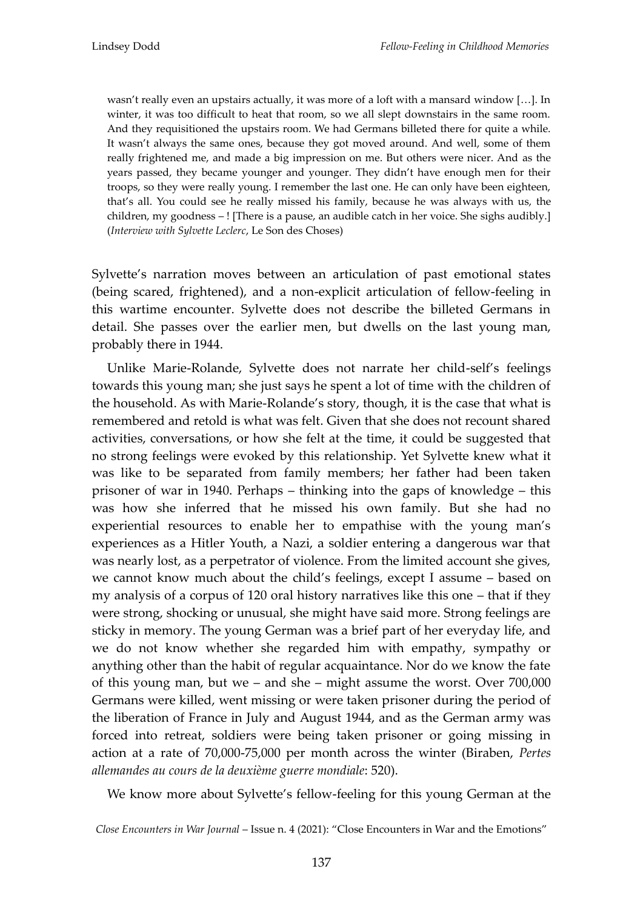wasn't really even an upstairs actually, it was more of a loft with a mansard window [...]. In winter, it was too difficult to heat that room, so we all slept downstairs in the same room. And they requisitioned the upstairs room. We had Germans billeted there for quite a while. It wasn't always the same ones, because they got moved around. And well, some of them really frightened me, and made a big impression on me. But others were nicer. And as the years passed, they became younger and younger. They didn't have enough men for their troops, so they were really young. I remember the last one. He can only have been eighteen, that's all. You could see he really missed his family, because he was always with us, the children, my goodness – ! [There is a pause, an audible catch in her voice. She sighs audibly.] (*Interview with Sylvette Leclerc*, Le Son des Choses)

Sylvette's narration moves between an articulation of past emotional states (being scared, frightened), and a non-explicit articulation of fellow-feeling in this wartime encounter. Sylvette does not describe the billeted Germans in detail. She passes over the earlier men, but dwells on the last young man, probably there in 1944.

Unlike Marie-Rolande, Sylvette does not narrate her child-self's feelings towards this young man; she just says he spent a lot of time with the children of the household. As with Marie-Rolande's story, though, it is the case that what is remembered and retold is what was felt. Given that she does not recount shared activities, conversations, or how she felt at the time, it could be suggested that no strong feelings were evoked by this relationship. Yet Sylvette knew what it was like to be separated from family members; her father had been taken prisoner of war in 1940. Perhaps – thinking into the gaps of knowledge – this was how she inferred that he missed his own family. But she had no experiential resources to enable her to empathise with the young man's experiences as a Hitler Youth, a Nazi, a soldier entering a dangerous war that was nearly lost, as a perpetrator of violence. From the limited account she gives, we cannot know much about the child's feelings, except I assume – based on my analysis of a corpus of 120 oral history narratives like this one – that if they were strong, shocking or unusual, she might have said more. Strong feelings are sticky in memory. The young German was a brief part of her everyday life, and we do not know whether she regarded him with empathy, sympathy or anything other than the habit of regular acquaintance. Nor do we know the fate of this young man, but we – and she – might assume the worst. Over 700,000 Germans were killed, went missing or were taken prisoner during the period of the liberation of France in July and August 1944, and as the German army was forced into retreat, soldiers were being taken prisoner or going missing in action at a rate of 70,000-75,000 per month across the winter (Biraben, *Pertes allemandes au cours de la deuxième guerre mondiale*: 520).

We know more about Sylvette's fellow-feeling for this young German at the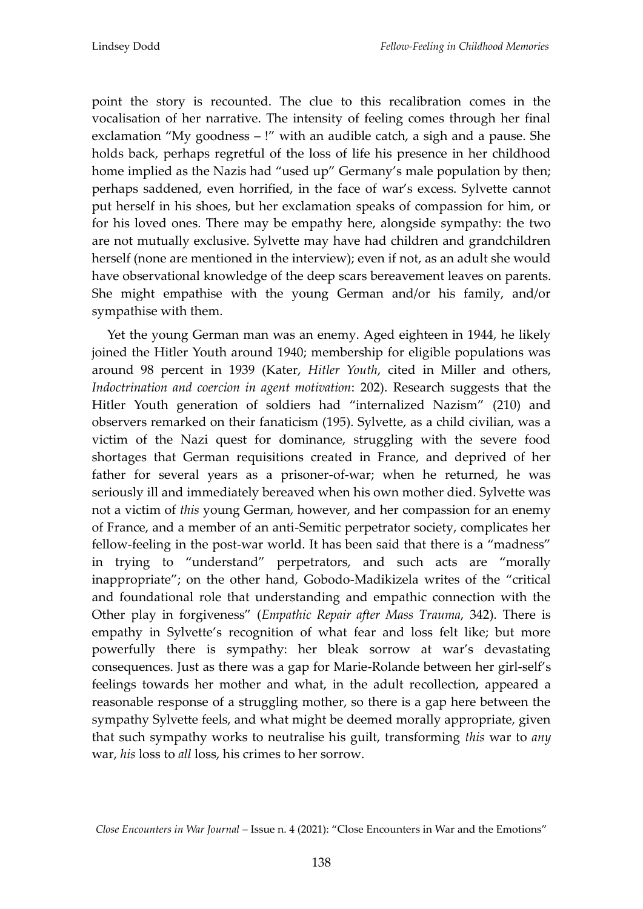point the story is recounted. The clue to this recalibration comes in the vocalisation of her narrative. The intensity of feeling comes through her final exclamation "My goodness – !" with an audible catch, a sigh and a pause. She holds back, perhaps regretful of the loss of life his presence in her childhood home implied as the Nazis had "used up" Germany's male population by then; perhaps saddened, even horrified, in the face of war's excess. Sylvette cannot put herself in his shoes, but her exclamation speaks of compassion for him, or for his loved ones. There may be empathy here, alongside sympathy: the two are not mutually exclusive. Sylvette may have had children and grandchildren herself (none are mentioned in the interview); even if not, as an adult she would have observational knowledge of the deep scars bereavement leaves on parents. She might empathise with the young German and/or his family, and/or sympathise with them.

Yet the young German man was an enemy. Aged eighteen in 1944, he likely joined the Hitler Youth around 1940; membership for eligible populations was around 98 percent in 1939 (Kater, *Hitler Youth*, cited in Miller and others, *Indoctrination and coercion in agent motivation*: 202). Research suggests that the Hitler Youth generation of soldiers had 'internalized Nazism' (210) and observers remarked on their fanaticism (195). Sylvette, as a child civilian, was a victim of the Nazi quest for dominance, struggling with the severe food shortages that German requisitions created in France, and deprived of her father for several years as a prisoner-of-war; when he returned, he was seriously ill and immediately bereaved when his own mother died. Sylvette was not a victim of *this* young German, however, and her compassion for an enemy of France, and a member of an anti-Semitic perpetrator society, complicates her fellow-feeling in the post-war world. It has been said that there is a "madness" in trying to 'understand' perpetrators, and such acts are 'morally inappropriate'; on the other hand, Gobodo-Madikizela writes of the 'critical and foundational role that understanding and empathic connection with the Other play in forgiveness' (*Empathic Repair after Mass Trauma*, 342). There is empathy in Sylvette's recognition of what fear and loss felt like; but more powerfully there is sympathy: her bleak sorrow at war's devastating consequences. Just as there was a gap for Marie-Rolande between her girl-self's feelings towards her mother and what, in the adult recollection, appeared a reasonable response of a struggling mother, so there is a gap here between the sympathy Sylvette feels, and what might be deemed morally appropriate, given that such sympathy works to neutralise his guilt, transforming *this* war to *any* war, *his* loss to *all* loss, his crimes to her sorrow.

*Close Encounters in War Journal* – Issue n. 4 (2021): 'Close Encounters in War and the Emotions'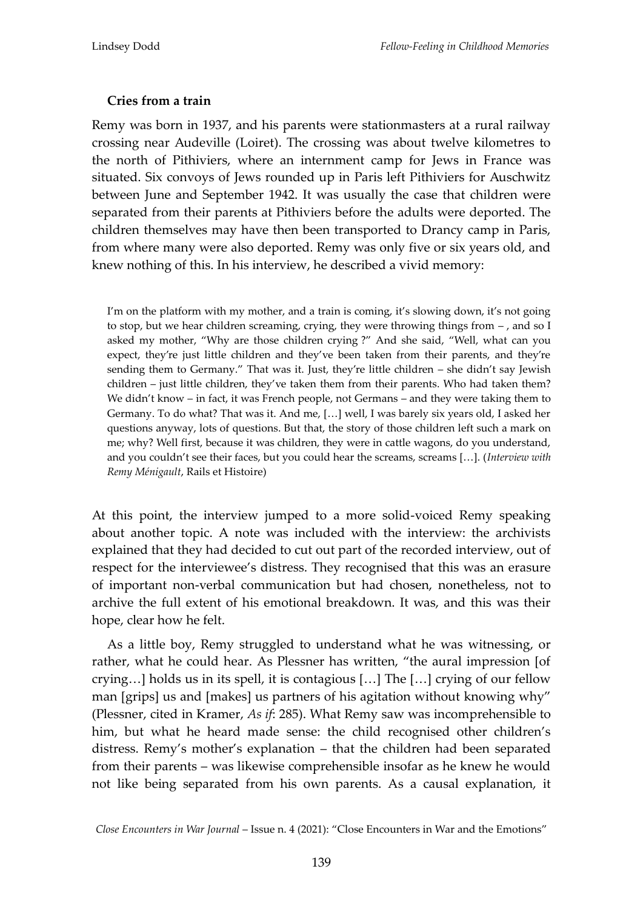## **Cries from a train**

Remy was born in 1937, and his parents were stationmasters at a rural railway crossing near Audeville (Loiret). The crossing was about twelve kilometres to the north of Pithiviers, where an internment camp for Jews in France was situated. Six convoys of Jews rounded up in Paris left Pithiviers for Auschwitz between June and September 1942. It was usually the case that children were separated from their parents at Pithiviers before the adults were deported. The children themselves may have then been transported to Drancy camp in Paris, from where many were also deported. Remy was only five or six years old, and knew nothing of this. In his interview, he described a vivid memory:

I'm on the platform with my mother, and a train is coming, it's slowing down, it's not going to stop, but we hear children screaming, crying, they were throwing things from – , and so I asked my mother, "Why are those children crying ?" And she said, "Well, what can you expect, they're just little children and they've been taken from their parents, and they're sending them to Germany.' That was it. Just, they're little children – she didn't say Jewish children – just little children, they've taken them from their parents. Who had taken them? We didn't know – in fact, it was French people, not Germans – and they were taking them to Germany. To do what? That was it. And me, [...] well, I was barely six years old, I asked her questions anyway, lots of questions. But that, the story of those children left such a mark on me; why? Well first, because it was children, they were in cattle wagons, do you understand, and you couldn't see their faces, but you could hear the screams, screams [...]. (*Interview with Remy Ménigault*, Rails et Histoire)

At this point, the interview jumped to a more solid-voiced Remy speaking about another topic. A note was included with the interview: the archivists explained that they had decided to cut out part of the recorded interview, out of respect for the interviewee's distress. They recognised that this was an erasure of important non-verbal communication but had chosen, nonetheless, not to archive the full extent of his emotional breakdown. It was, and this was their hope, clear how he felt.

As a little boy, Remy struggled to understand what he was witnessing, or rather, what he could hear. As Plessner has written, "the aural impression [of crying...] holds us in its spell, it is contagious  $[...]$  The  $[...]$  crying of our fellow man [grips] us and [makes] us partners of his agitation without knowing why" (Plessner, cited in Kramer, *As if*: 285). What Remy saw was incomprehensible to him, but what he heard made sense: the child recognised other children's distress. Remy's mother's explanation – that the children had been separated from their parents – was likewise comprehensible insofar as he knew he would not like being separated from his own parents. As a causal explanation, it

*Close Encounters in War Journal* – Issue n. 4 (2021): 'Close Encounters in War and the Emotions'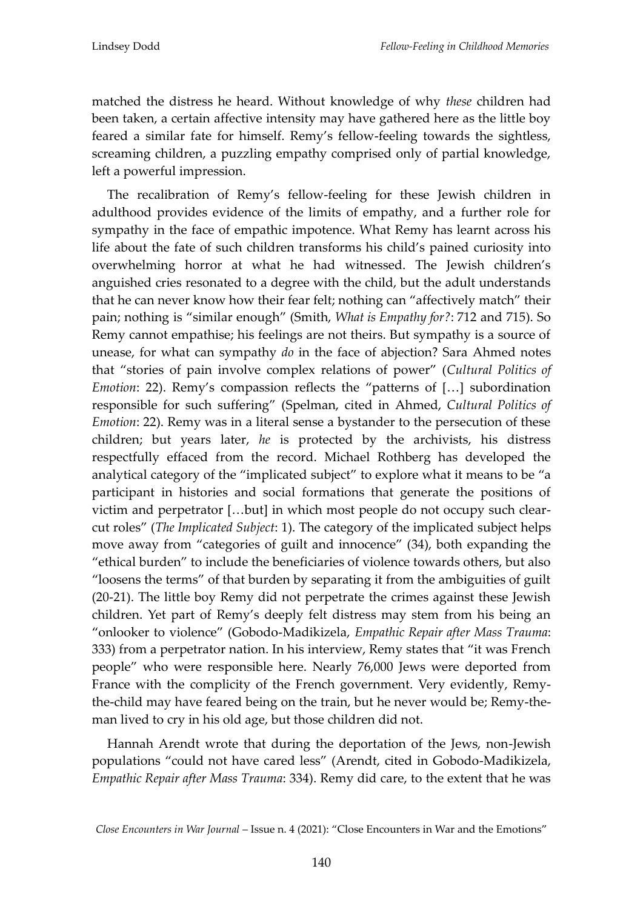matched the distress he heard. Without knowledge of why *these* children had been taken, a certain affective intensity may have gathered here as the little boy feared a similar fate for himself. Remy's fellow-feeling towards the sightless, screaming children, a puzzling empathy comprised only of partial knowledge, left a powerful impression.

The recalibration of Remy's fellow-feeling for these Jewish children in adulthood provides evidence of the limits of empathy, and a further role for sympathy in the face of empathic impotence. What Remy has learnt across his life about the fate of such children transforms his child's pained curiosity into overwhelming horror at what he had witnessed. The Jewish children's anguished cries resonated to a degree with the child, but the adult understands that he can never know how their fear felt; nothing can 'affectively match' their pain; nothing is 'similar enough' (Smith, *What is Empathy for?*: 712 and 715). So Remy cannot empathise; his feelings are not theirs. But sympathy is a source of unease, for what can sympathy *do* in the face of abjection? Sara Ahmed notes that 'stories of pain involve complex relations of power' (*Cultural Politics of Emotion*: 22). Remy's compassion reflects the "patterns of [...] subordination responsible for such suffering' (Spelman, cited in Ahmed, *Cultural Politics of Emotion*: 22). Remy was in a literal sense a bystander to the persecution of these children; but years later, *he* is protected by the archivists, his distress respectfully effaced from the record. Michael Rothberg has developed the analytical category of the 'implicated subject' to explore what it means to be 'a participant in histories and social formations that generate the positions of victim and perpetrator [...but] in which most people do not occupy such clearcut roles' (*The Implicated Subject*: 1). The category of the implicated subject helps move away from 'categories of guilt and innocence' (34), both expanding the 'ethical burden' to include the beneficiaries of violence towards others, but also 'loosens the terms' of that burden by separating it from the ambiguities of guilt (20-21). The little boy Remy did not perpetrate the crimes against these Jewish children. Yet part of Remy's deeply felt distress may stem from his being an 'onlooker to violence' (Gobodo-Madikizela, *Empathic Repair after Mass Trauma*: 333) from a perpetrator nation. In his interview, Remy states that 'it was French people' who were responsible here. Nearly 76,000 Jews were deported from France with the complicity of the French government. Very evidently, Remythe-child may have feared being on the train, but he never would be; Remy-theman lived to cry in his old age, but those children did not.

Hannah Arendt wrote that during the deportation of the Jews, non-Jewish populations 'could not have cared less' (Arendt, cited in Gobodo-Madikizela, *Empathic Repair after Mass Trauma*: 334). Remy did care, to the extent that he was

*Close Encounters in War Journal* – Issue n. 4 (2021): 'Close Encounters in War and the Emotions'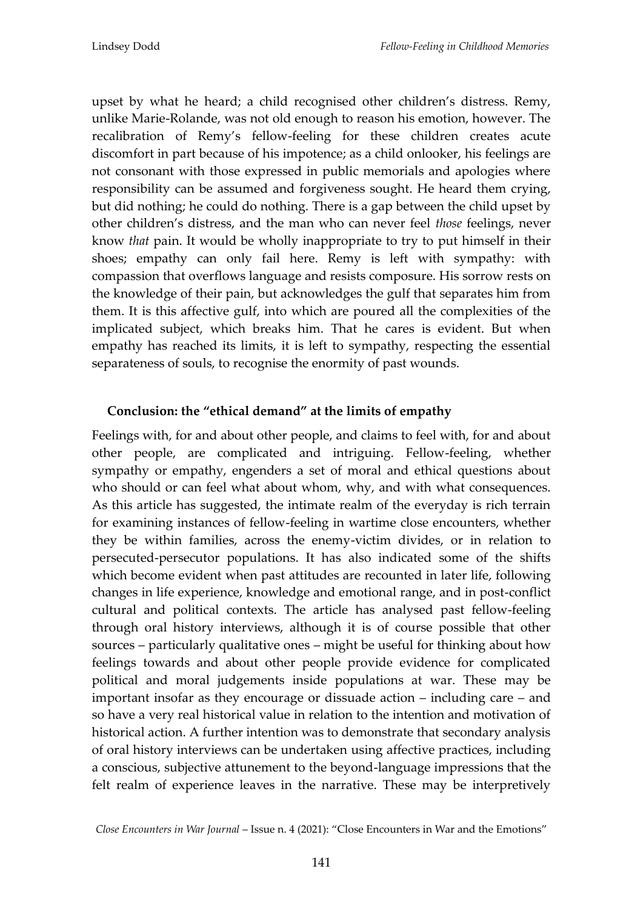upset by what he heard; a child recognised other children's distress. Remy, unlike Marie-Rolande, was not old enough to reason his emotion, however. The recalibration of Remy's fellow-feeling for these children creates acute discomfort in part because of his impotence; as a child onlooker, his feelings are not consonant with those expressed in public memorials and apologies where responsibility can be assumed and forgiveness sought. He heard them crying, but did nothing; he could do nothing. There is a gap between the child upset by other children's distress, and the man who can never feel *those* feelings, never know *that* pain. It would be wholly inappropriate to try to put himself in their shoes; empathy can only fail here. Remy is left with sympathy: with compassion that overflows language and resists composure. His sorrow rests on the knowledge of their pain, but acknowledges the gulf that separates him from them. It is this affective gulf, into which are poured all the complexities of the implicated subject, which breaks him. That he cares is evident. But when empathy has reached its limits, it is left to sympathy, respecting the essential separateness of souls, to recognise the enormity of past wounds.

## **Conclusion: the "ethical demand" at the limits of empathy**

Feelings with, for and about other people, and claims to feel with, for and about other people, are complicated and intriguing. Fellow-feeling, whether sympathy or empathy, engenders a set of moral and ethical questions about who should or can feel what about whom, why, and with what consequences. As this article has suggested, the intimate realm of the everyday is rich terrain for examining instances of fellow-feeling in wartime close encounters, whether they be within families, across the enemy-victim divides, or in relation to persecuted-persecutor populations. It has also indicated some of the shifts which become evident when past attitudes are recounted in later life, following changes in life experience, knowledge and emotional range, and in post-conflict cultural and political contexts. The article has analysed past fellow-feeling through oral history interviews, although it is of course possible that other sources – particularly qualitative ones – might be useful for thinking about how feelings towards and about other people provide evidence for complicated political and moral judgements inside populations at war. These may be important insofar as they encourage or dissuade action – including care – and so have a very real historical value in relation to the intention and motivation of historical action. A further intention was to demonstrate that secondary analysis of oral history interviews can be undertaken using affective practices, including a conscious, subjective attunement to the beyond-language impressions that the felt realm of experience leaves in the narrative. These may be interpretively

*Close Encounters in War Journal* – Issue n. 4 (2021): 'Close Encounters in War and the Emotions'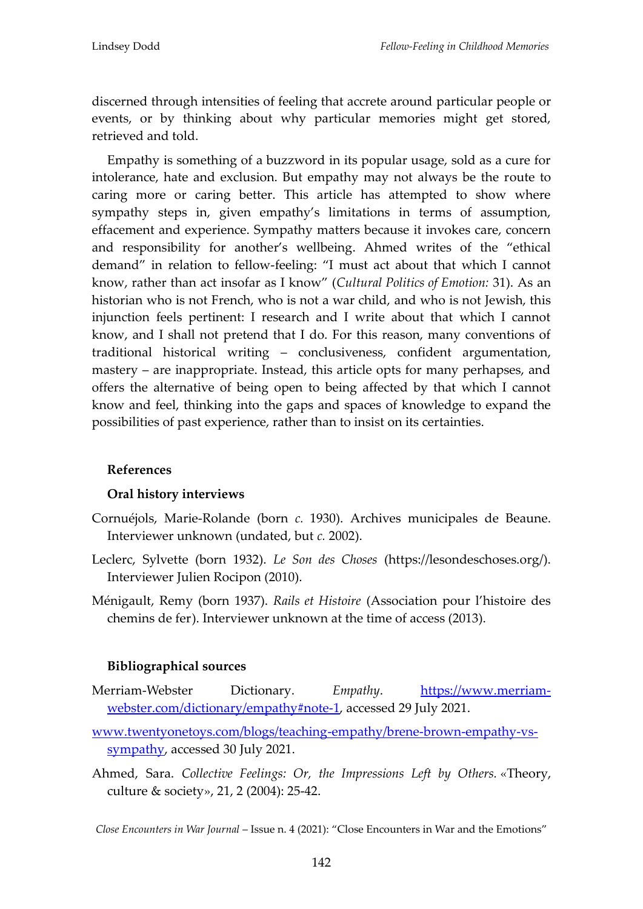discerned through intensities of feeling that accrete around particular people or events, or by thinking about why particular memories might get stored, retrieved and told.

Empathy is something of a buzzword in its popular usage, sold as a cure for intolerance, hate and exclusion. But empathy may not always be the route to caring more or caring better. This article has attempted to show where sympathy steps in, given empathy's limitations in terms of assumption, effacement and experience. Sympathy matters because it invokes care, concern and responsibility for another's wellbeing. Ahmed writes of the 'ethical demand' in relation to fellow-feeling: 'I must act about that which I cannot know, rather than act insofar as I know' (*Cultural Politics of Emotion:* 31). As an historian who is not French, who is not a war child, and who is not Jewish, this injunction feels pertinent: I research and I write about that which I cannot know, and I shall not pretend that I do. For this reason, many conventions of traditional historical writing – conclusiveness, confident argumentation, mastery – are inappropriate. Instead, this article opts for many perhapses, and offers the alternative of being open to being affected by that which I cannot know and feel, thinking into the gaps and spaces of knowledge to expand the possibilities of past experience, rather than to insist on its certainties.

#### **References**

#### **Oral history interviews**

- Cornuéjols, Marie-Rolande (born *c.* 1930). Archives municipales de Beaune. Interviewer unknown (undated, but *c.* 2002).
- Leclerc, Sylvette (born 1932). *Le Son des Choses* (https://lesondeschoses.org/). Interviewer Julien Rocipon (2010).
- Ménigault, Remy (born 1937). *Rails et Histoire* (Association pour l'histoire des chemins de fer). Interviewer unknown at the time of access (2013).

#### **Bibliographical sources**

- Merriam-Webster Dictionary. *Empathy*. [https://www.merriam](https://www.merriam-webster.com/dictionary/empathy#note-1)[webster.com/dictionary/empathy#note](https://www.merriam-webster.com/dictionary/empathy#note-1)-1, accessed 29 July 2021.
- [www.twentyonetoys.com/blogs/teaching](http://www.twentyonetoys.com/blogs/teaching-empathy/brene-brown-empathy-vs-sympathy)-empathy/brene-brown-empathy-vs[sympathy,](http://www.twentyonetoys.com/blogs/teaching-empathy/brene-brown-empathy-vs-sympathy) accessed 30 July 2021.
- Ahmed, Sara. *Collective Feelings: Or, the Impressions Left by Others.* «Theory, culture & society», 21, 2 (2004): 25-42.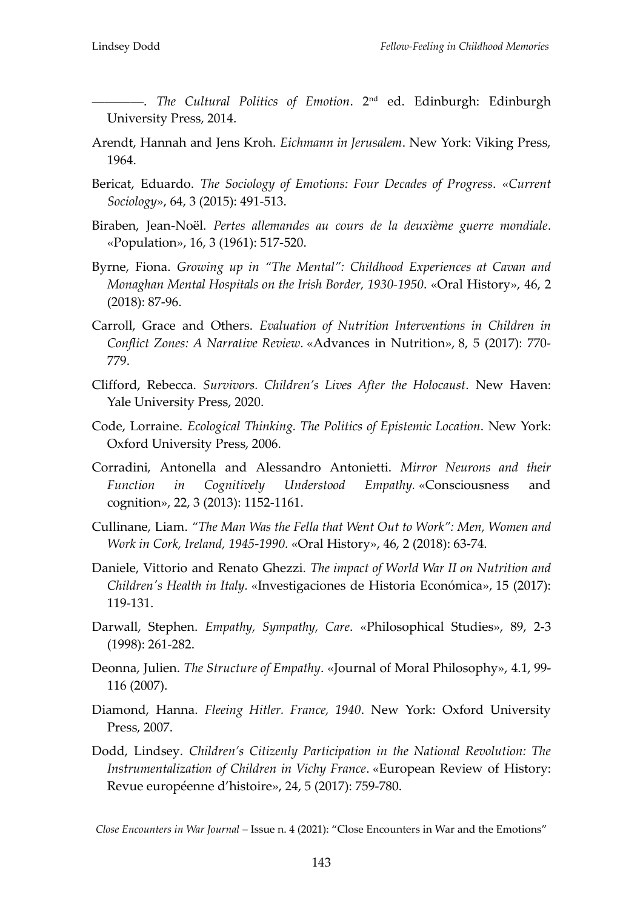――――. *The Cultural Politics of Emotion*. 2nd ed. Edinburgh: Edinburgh University Press, 2014.

- Arendt, Hannah and Jens Kroh. *Eichmann in Jerusalem*. New York: Viking Press, 1964.
- Bericat, Eduardo. *The Sociology of Emotions: Four Decades of Progress*. «*Current Sociology*», 64, 3 (2015): 491-513.
- Biraben, Jean-Noël. *Pertes allemandes au cours de la deuxième guerre mondiale*. «Population», 16, 3 (1961): 517-520.
- Byrne, Fiona. *Growing up in "The Mental": Childhood Experiences at Cavan and Monaghan Mental Hospitals on the Irish Border, 1930-1950*. «Oral History», 46, 2 (2018): 87-96.
- Carroll, Grace and Others. *Evaluation of Nutrition Interventions in Children in Conflict Zones: A Narrative Review*. «Advances in Nutrition», 8, 5 (2017): 770- 779.
- Clifford, Rebecca. *Survivors. Children's Lives After the Holocaust*. New Haven: Yale University Press, 2020.
- Code, Lorraine. *Ecological Thinking. The Politics of Epistemic Location*. New York: Oxford University Press, 2006.
- Corradini, Antonella and Alessandro Antonietti. *Mirror Neurons and their Function in Cognitively Understood Empathy.* «Consciousness and cognition», 22, 3 (2013): 1152-1161.
- Cullinane, Liam. *"The Man Was the Fella that Went Out to Work": Men, Women and Work in Cork, Ireland, 1945-1990*. «Oral History», 46, 2 (2018): 63-74.
- Daniele, Vittorio and Renato Ghezzi. *The impact of World War II on Nutrition and Children's Health in Italy.* «Investigaciones de Historia Económica», 15 (2017): 119-131.
- Darwall, Stephen. *Empathy, Sympathy, Care*. «Philosophical Studies», 89, 2-3 (1998): 261-282.
- Deonna, Julien. *The Structure of Empathy*. «Journal of Moral Philosophy», 4.1, 99- 116 (2007).
- Diamond, Hanna. *Fleeing Hitler. France, 1940*. New York: Oxford University Press, 2007.
- Dodd, Lindsey. *Children's Citizenly Participation in the National Revolution: The Instrumentalization of Children in Vichy France*. «European Review of History: Revue européenne d'histoire», 24, 5 (2017): 759-780.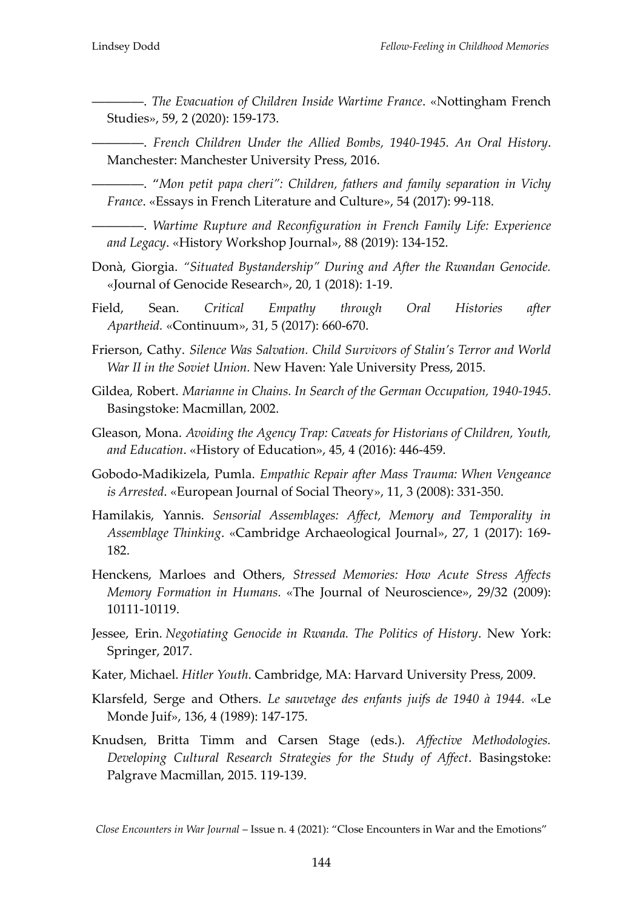――――. *The Evacuation of Children Inside Wartime France*. «Nottingham French Studies», 59, 2 (2020): 159-173.

――――. *French Children Under the Allied Bombs, 1940-1945. An Oral History*. Manchester: Manchester University Press, 2016.

――――. '*Mon petit papa cheri": Children, fathers and family separation in Vichy France*. «Essays in French Literature and Culture», 54 (2017): 99-118.

――――. *Wartime Rupture and Reconfiguration in French Family Life: Experience and Legacy*. «History Workshop Journal», 88 (2019): 134-152.

- Donà, Giorgia. *"Situated Bystandership" During and After the Rwandan Genocide.* «Journal of Genocide Research», 20, 1 (2018): 1-19.
- Field, Sean. *Critical Empathy through Oral Histories after Apartheid.* «Continuum», 31, 5 (2017): 660-670.
- Frierson, Cathy. *Silence Was Salvation. Child Survivors of Stalin's Terror and World War II in the Soviet Union.* New Haven: Yale University Press, 2015.
- Gildea, Robert. *Marianne in Chains. In Search of the German Occupation, 1940-1945*. Basingstoke: Macmillan, 2002.
- Gleason, Mona. *Avoiding the Agency Trap: Caveats for Historians of Children, Youth, and Education*. «History of Education», 45, 4 (2016): 446-459.
- Gobodo-Madikizela, Pumla. *Empathic Repair after Mass Trauma: When Vengeance is Arrested*. «European Journal of Social Theory», 11, 3 (2008): 331-350.
- Hamilakis, Yannis. *Sensorial Assemblages: Affect, Memory and Temporality in Assemblage Thinking*. «Cambridge Archaeological Journal», 27, 1 (2017): 169- 182.
- Henckens, Marloes and Others, *Stressed Memories: How Acute Stress Affects Memory Formation in Humans.* «The Journal of Neuroscience», 29/32 (2009): 10111-10119.
- Jessee, Erin. *Negotiating Genocide in Rwanda. The Politics of History*. New York: Springer, 2017.
- Kater, Michael. *Hitler Youth*. Cambridge, MA: Harvard University Press, 2009.
- Klarsfeld, Serge and Others. *Le sauvetage des enfants juifs de 1940 à 1944.* «Le Monde Juif», 136, 4 (1989): 147-175.
- Knudsen, Britta Timm and Carsen Stage (eds.). *Affective Methodologies. Developing Cultural Research Strategies for the Study of Affect*. Basingstoke: Palgrave Macmillan, 2015. 119-139.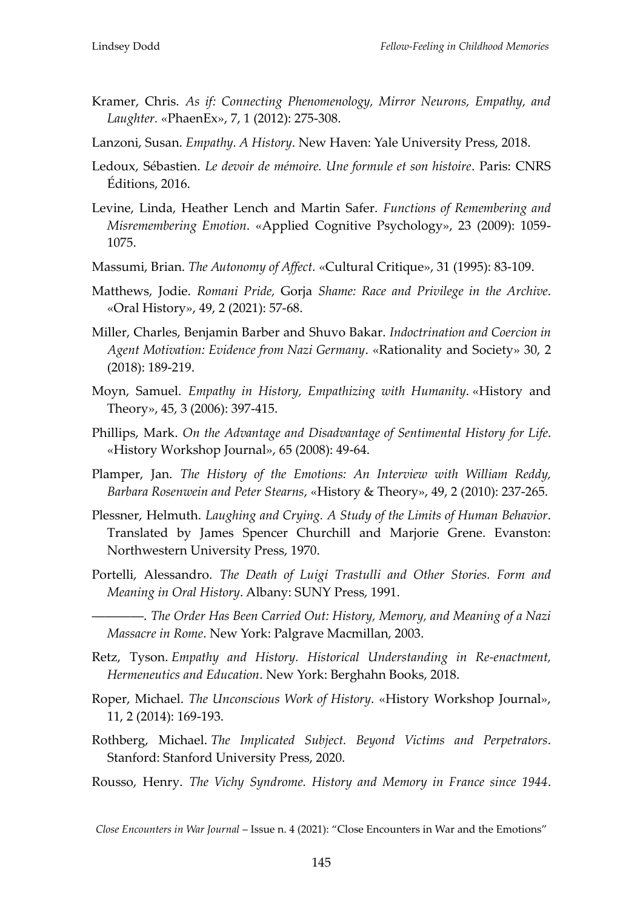- Kramer, Chris. *As if: Connecting Phenomenology, Mirror Neurons, Empathy, and Laughter.* «PhaenEx», 7, 1 (2012): 275-308.
- Lanzoni, Susan. *Empathy. A History*. New Haven: Yale University Press, 2018.
- Ledoux, Sébastien. *Le devoir de mémoire. Une formule et son histoire*. Paris: CNRS Éditions, 2016.
- Levine, Linda, Heather Lench and Martin Safer. *Functions of Remembering and Misremembering Emotion*. «Applied Cognitive Psychology», 23 (2009): 1059- 1075.
- Massumi, Brian. *The Autonomy of Affect.* «Cultural Critique», 31 (1995): 83-109.
- Matthews, Jodie. *Romani Pride,* Gorja *Shame: Race and Privilege in the Archive*. «Oral History», 49, 2 (2021): 57-68.
- Miller, Charles, Benjamin Barber and Shuvo Bakar. *Indoctrination and Coercion in Agent Motivation: Evidence from Nazi Germany*. «Rationality and Society» 30, 2 (2018): 189-219.
- Moyn, Samuel. *Empathy in History, Empathizing with Humanity*. «History and Theory», 45, 3 (2006): 397-415.
- Phillips, Mark. *On the Advantage and Disadvantage of Sentimental History for Life*. «History Workshop Journal», 65 (2008): 49-64.
- Plamper, Jan. *The History of the Emotions: An Interview with William Reddy, Barbara Rosenwein and Peter Stearns*, «History & Theory», 49, 2 (2010): 237-265.
- Plessner, Helmuth. *Laughing and Crying. A Study of the Limits of Human Behavior*. Translated by James Spencer Churchill and Marjorie Grene. Evanston: Northwestern University Press, 1970.
- Portelli, Alessandro. *The Death of Luigi Trastulli and Other Stories. Form and Meaning in Oral History*. Albany: SUNY Press, 1991.
	- ――――. *The Order Has Been Carried Out: History, Memory, and Meaning of a Nazi Massacre in Rome*. New York: Palgrave Macmillan, 2003.
- Retz, Tyson. *Empathy and History. Historical Understanding in Re-enactment, Hermeneutics and Education*. New York: Berghahn Books, 2018.
- Roper, Michael. *The Unconscious Work of History*. «History Workshop Journal», 11, 2 (2014): 169-193.
- Rothberg, Michael. *The Implicated Subject. Beyond Victims and Perpetrators*. Stanford: Stanford University Press, 2020.
- Rousso, Henry. *The Vichy Syndrome. History and Memory in France since 1944*.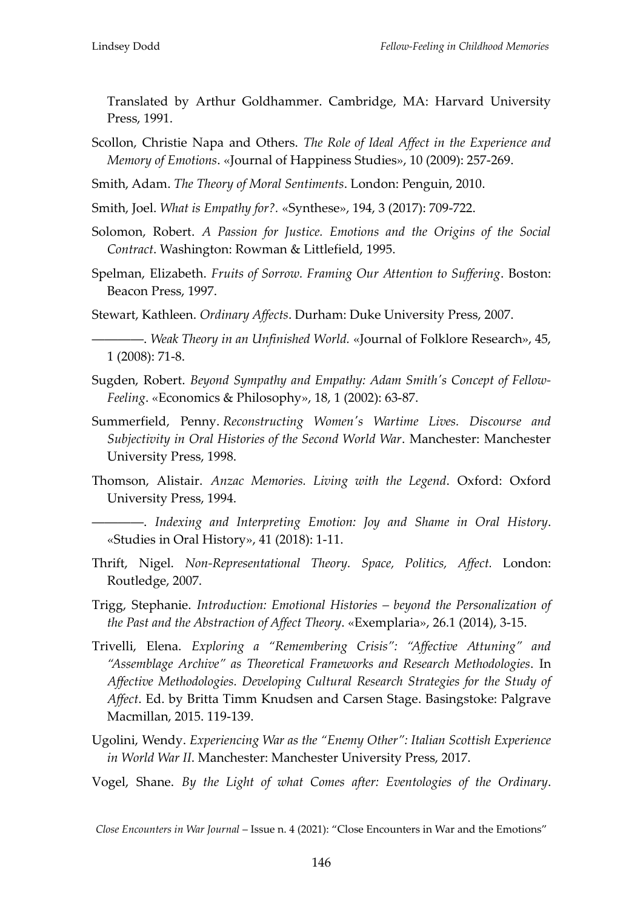Translated by Arthur Goldhammer. Cambridge, MA: Harvard University Press, 1991.

- Scollon, Christie Napa and Others. *The Role of Ideal Affect in the Experience and Memory of Emotions*. «Journal of Happiness Studies», 10 (2009): 257-269.
- Smith, Adam. *The Theory of Moral Sentiments*. London: Penguin, 2010.
- Smith, Joel. *What is Empathy for?.* «Synthese», 194, 3 (2017): 709-722.
- Solomon, Robert. *A Passion for Justice. Emotions and the Origins of the Social Contract*. Washington: Rowman & Littlefield, 1995.
- Spelman, Elizabeth. *Fruits of Sorrow. Framing Our Attention to Suffering*. Boston: Beacon Press, 1997.
- Stewart, Kathleen. *Ordinary Affects*. Durham: Duke University Press, 2007.
	- ――――. *Weak Theory in an Unfinished World.* «Journal of Folklore Research», 45, 1 (2008): 71-8.
- Sugden, Robert. *Beyond Sympathy and Empathy: Adam Smith's Concept of Fellow-Feeling*. «Economics & Philosophy», 18, 1 (2002): 63-87.
- Summerfield, Penny. *Reconstructing Women's Wartime Lives. Discourse and Subjectivity in Oral Histories of the Second World War*. Manchester: Manchester University Press, 1998.
- Thomson, Alistair. *Anzac Memories. Living with the Legend*. Oxford: Oxford University Press, 1994.
- ――――. *Indexing and Interpreting Emotion: Joy and Shame in Oral History*. «Studies in Oral History», 41 (2018): 1-11.
- Thrift, Nigel. *Non-Representational Theory. Space, Politics, Affect.* London: Routledge, 2007.
- Trigg, Stephanie. *Introduction: Emotional Histories – beyond the Personalization of the Past and the Abstraction of Affect Theory*. «Exemplaria», 26.1 (2014), 3-15.
- Trivelli, Elena. *Exploring a "Remembering Crisis": "Affective Attuning" and "Assemblage Archive" as Theoretical Frameworks and Research Methodologies*. In *Affective Methodologies. Developing Cultural Research Strategies for the Study of Affect*. Ed. by Britta Timm Knudsen and Carsen Stage. Basingstoke: Palgrave Macmillan, 2015. 119-139.
- Ugolini, Wendy. *Experiencing War as the "Enemy Other": Italian Scottish Experience in World War II*. Manchester: Manchester University Press, 2017.
- Vogel, Shane. *By the Light of what Comes after: Eventologies of the Ordinary*.